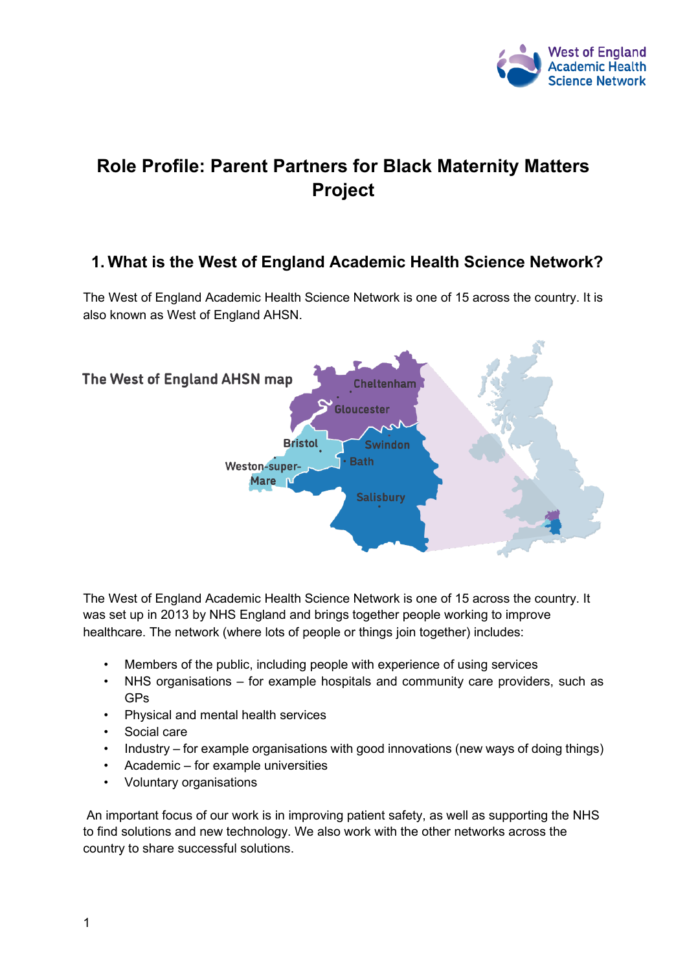

# **Role Profile: Parent Partners for Black Maternity Matters Project**

## **1. What is the West of England Academic Health Science Network?**

The West of England Academic Health Science Network is one of 15 across the country. It is also known as West of England AHSN.



The West of England Academic Health Science Network is one of 15 across the country. It was set up in 2013 by NHS England and brings together people working to improve healthcare. The network (where lots of people or things join together) includes:

- Members of the public, including people with experience of using services
- NHS organisations for example hospitals and community care providers, such as GPs
- Physical and mental health services
- Social care
- Industry for example organisations with good innovations (new ways of doing things)
- Academic for example universities
- Voluntary organisations

An important focus of our work is in improving patient safety, as well as supporting the NHS to find solutions and new technology. We also work with the other networks across the country to share successful solutions.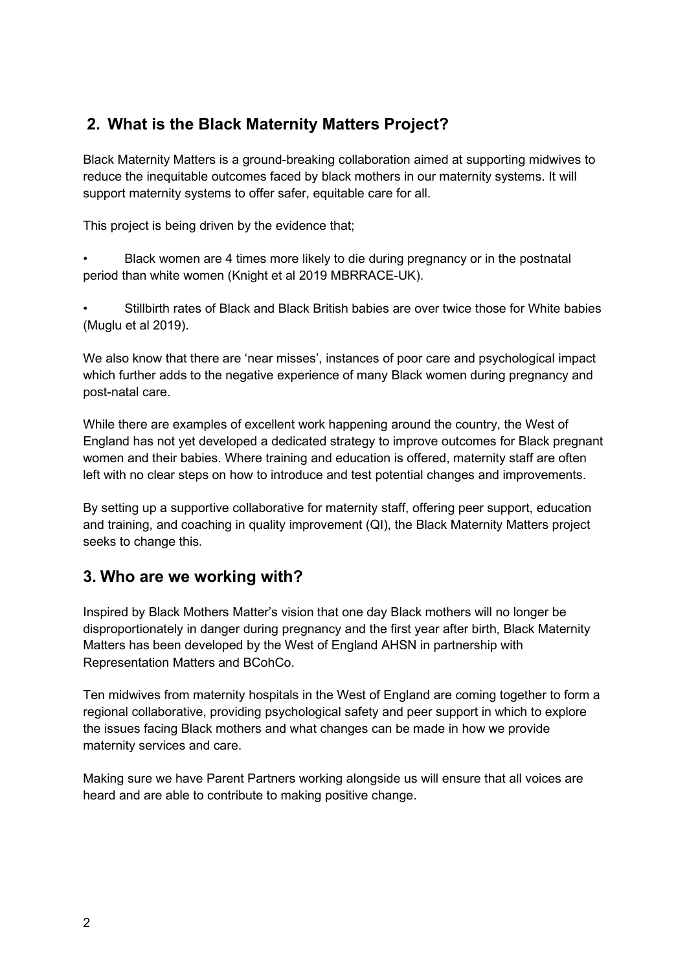# **2. What is the Black Maternity Matters Project?**

Black Maternity Matters is a ground-breaking collaboration aimed at supporting midwives to reduce the inequitable outcomes faced by black mothers in our maternity systems. It will support maternity systems to offer safer, equitable care for all.

This project is being driven by the evidence that;

- Black women are 4 times more likely to die during pregnancy or in the postnatal period than white women (Knight et al 2019 MBRRACE-UK).
- Stillbirth rates of Black and Black British babies are over twice those for White babies (Muglu et al 2019).

We also know that there are 'near misses', instances of poor care and psychological impact which further adds to the negative experience of many Black women during pregnancy and post-natal care.

While there are examples of excellent work happening around the country, the West of England has not yet developed a dedicated strategy to improve outcomes for Black pregnant women and their babies. Where training and education is offered, maternity staff are often left with no clear steps on how to introduce and test potential changes and improvements.

By setting up a supportive collaborative for maternity staff, offering peer support, education and training, and coaching in quality improvement (QI), the Black Maternity Matters project seeks to change this.

### **3. Who are we working with?**

Inspired by Black Mothers Matter's vision that one day Black mothers will no longer be disproportionately in danger during pregnancy and the first year after birth, Black Maternity Matters has been developed by the West of England AHSN in partnership with Representation Matters and BCohCo.

Ten midwives from maternity hospitals in the West of England are coming together to form a regional collaborative, providing psychological safety and peer support in which to explore the issues facing Black mothers and what changes can be made in how we provide maternity services and care.

Making sure we have Parent Partners working alongside us will ensure that all voices are heard and are able to contribute to making positive change.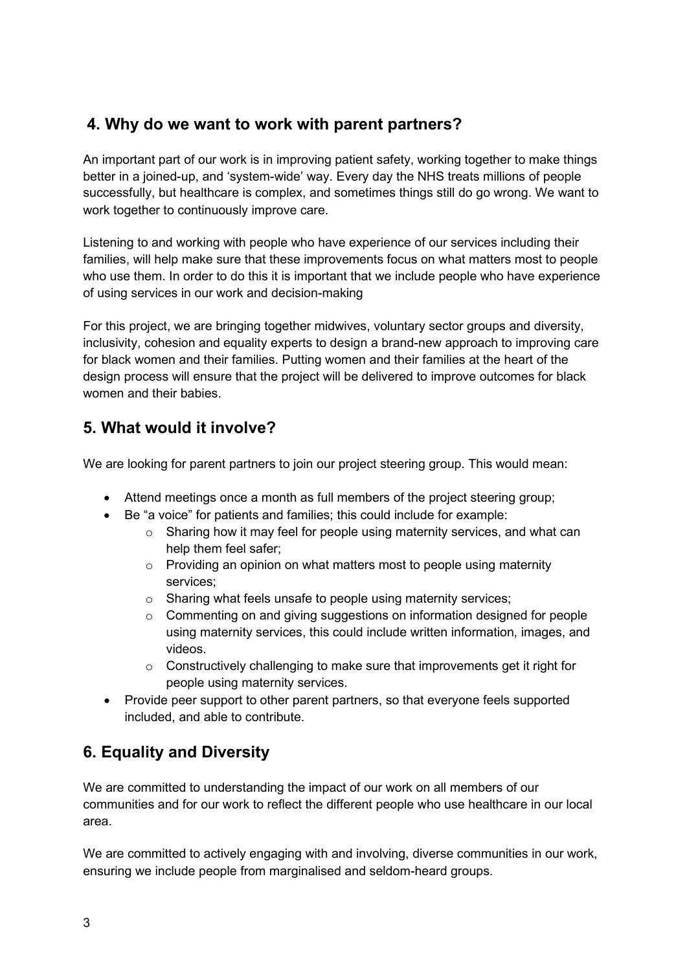# **4. Why do we want to work with parent partners?**

An important part of our work is in improving patient safety, working together to make things better in a joined-up, and 'system-wide' way. Every day the NHS treats millions of people successfully, but healthcare is complex, and sometimes things still do go wrong. We want to work together to continuously improve care.

Listening to and working with people who have experience of our services including their families, will help make sure that these improvements focus on what matters most to people who use them. In order to do this it is important that we include people who have experience of using services in our work and decision-making

For this project, we are bringing together midwives, voluntary sector groups and diversity, inclusivity, cohesion and equality experts to design a brand-new approach to improving care for black women and their families. Putting women and their families at the heart of the design process will ensure that the project will be delivered to improve outcomes for black women and their babies.

## **5. What would it involve?**

We are looking for parent partners to join our project steering group. This would mean:

- Attend meetings once a month as full members of the project steering group;
- Be "a voice" for patients and families; this could include for example:
	- o Sharing how it may feel for people using maternity services, and what can help them feel safer;
	- o Providing an opinion on what matters most to people using maternity services;
	- o Sharing what feels unsafe to people using maternity services;
	- $\circ$  Commenting on and giving suggestions on information designed for people using maternity services, this could include written information, images, and videos.
	- o Constructively challenging to make sure that improvements get it right for people using maternity services.
- Provide peer support to other parent partners, so that everyone feels supported included, and able to contribute.

# **6. Equality and Diversity**

We are committed to understanding the impact of our work on all members of our communities and for our work to reflect the different people who use healthcare in our local area.

We are committed to actively engaging with and involving, diverse communities in our work, ensuring we include people from marginalised and seldom-heard groups.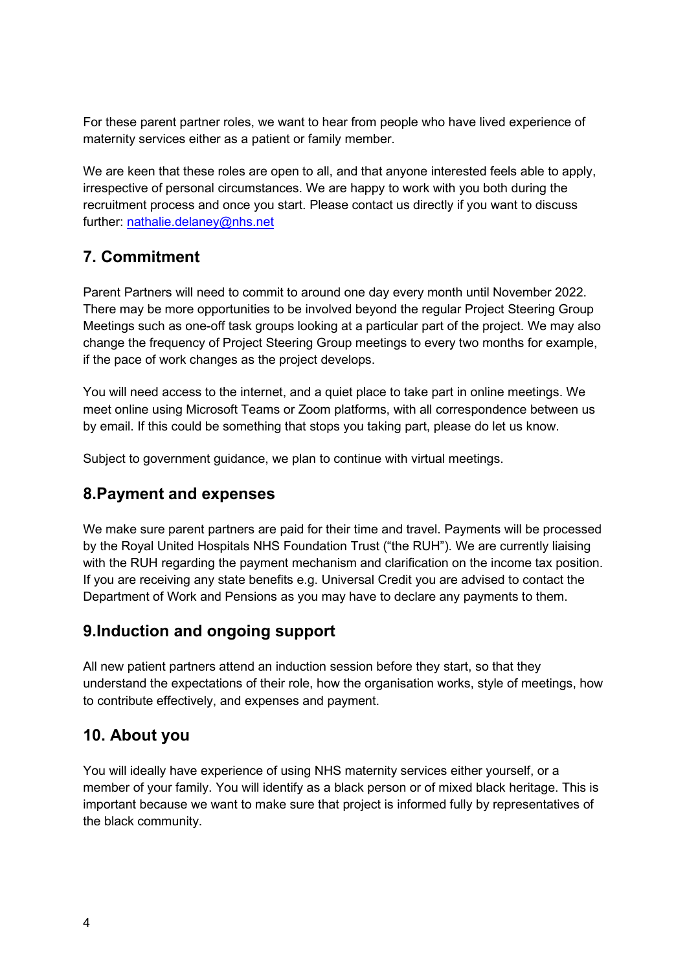For these parent partner roles, we want to hear from people who have lived experience of maternity services either as a patient or family member.

We are keen that these roles are open to all, and that anyone interested feels able to apply, irrespective of personal circumstances. We are happy to work with you both during the recruitment process and once you start. Please contact us directly if you want to discuss further: [nathalie.delaney@nhs.net](mailto:nathalie.delaney@nhs.net)

## **7. Commitment**

Parent Partners will need to commit to around one day every month until November 2022. There may be more opportunities to be involved beyond the regular Project Steering Group Meetings such as one-off task groups looking at a particular part of the project. We may also change the frequency of Project Steering Group meetings to every two months for example, if the pace of work changes as the project develops.

You will need access to the internet, and a quiet place to take part in online meetings. We meet online using Microsoft Teams or Zoom platforms, with all correspondence between us by email. If this could be something that stops you taking part, please do let us know.

Subject to government guidance, we plan to continue with virtual meetings.

#### **8.Payment and expenses**

We make sure parent partners are paid for their time and travel. Payments will be processed by the Royal United Hospitals NHS Foundation Trust ("the RUH"). We are currently liaising with the RUH regarding the payment mechanism and clarification on the income tax position. If you are receiving any state benefits e.g. Universal Credit you are advised to contact the Department of Work and Pensions as you may have to declare any payments to them.

### **9.Induction and ongoing support**

All new patient partners attend an induction session before they start, so that they understand the expectations of their role, how the organisation works, style of meetings, how to contribute effectively, and expenses and payment.

### **10. About you**

You will ideally have experience of using NHS maternity services either yourself, or a member of your family. You will identify as a black person or of mixed black heritage. This is important because we want to make sure that project is informed fully by representatives of the black community.